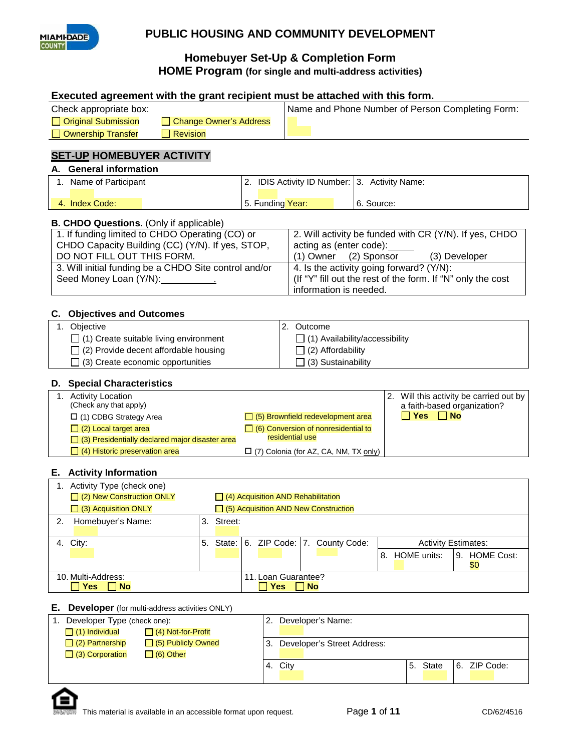

# **PUBLIC HOUSING AND COMMUNITY DEVELOPMENT**

## **Homebuyer Set-Up & Completion Form HOME Program (for single and multi-address activities)**

#### **Executed agreement with the grant recipient must be attached with this form.**

| Check appropriate box: |                        | Name and Phone Number of Person Completing Form: |
|------------------------|------------------------|--------------------------------------------------|
| □ Original Submission  | Change Owner's Address |                                                  |
| Ownership Transfer     | <b>Revision</b>        |                                                  |

## **SET-UP HOMEBUYER ACTIVITY**

### **A. General information**

| Name of Participant | IDIS Activity ID Number: 3. Activity Name: |            |
|---------------------|--------------------------------------------|------------|
| 4. Index Code:      | 5. Funding Year:                           | 6. Source: |

#### **B. CHDO Questions.** (Only if applicable)

| 1. If funding limited to CHDO Operating (CO) or       | 2. Will activity be funded with CR (Y/N). If yes, CHDO      |
|-------------------------------------------------------|-------------------------------------------------------------|
| CHDO Capacity Building (CC) (Y/N). If yes, STOP,      | acting as (enter code):                                     |
| DO NOT FILL OUT THIS FORM.                            | $(1)$ Owner $(2)$ Sponsor<br>(3) Developer                  |
| 3. Will initial funding be a CHDO Site control and/or | 4. Is the activity going forward? (Y/N):                    |
| Seed Money Loan (Y/N): 1997                           | (If "Y" fill out the rest of the form. If "N" only the cost |
|                                                       | information is needed.                                      |

#### **C. Objectives and Outcomes**

| Obiective                                     | Outcome                               |
|-----------------------------------------------|---------------------------------------|
| $\Box$ (1) Create suitable living environment | $\Box$ (1) Availability/accessibility |
| $\Box$ (2) Provide decent affordable housing  | $\Box$ (2) Affordability              |
| $\Box$ (3) Create economic opportunities      | 」(3) Sustainability                   |

#### **D. Special Characteristics**

| <b>Activity Location</b><br>(Check any that apply)     |                                              | 2. | Will this activity be carried out by<br>a faith-based organization? |
|--------------------------------------------------------|----------------------------------------------|----|---------------------------------------------------------------------|
| $\Box$ (1) CDBG Strategy Area                          | $\Box$ (5) Brownfield redevelopment area     |    | $\Box$ No<br>∃ Yes                                                  |
| $\Box$ (2) Local target area                           | $\Box$ (6) Conversion of nonresidential to   |    |                                                                     |
| $\Box$ (3) Presidentially declared major disaster area | residential use                              |    |                                                                     |
| $\Box$ (4) Historic preservation area                  | $\Box$ (7) Colonia (for AZ, CA, NM, TX only) |    |                                                                     |

#### **E. Activity Information**

|    | Activity Type (check one)                        |                     |                                                                   |  |  |  |  |  |  |
|----|--------------------------------------------------|---------------------|-------------------------------------------------------------------|--|--|--|--|--|--|
|    | $\Box$ (2) New Construction ONLY                 |                     | $\Box$ (4) Acquisition AND Rehabilitation                         |  |  |  |  |  |  |
|    | $\Box$ (3) Acquisition ONLY                      |                     | $\Box$ (5) Acquisition AND New Construction                       |  |  |  |  |  |  |
| 2. | Homebuyer's Name:                                |                     | 3. Street:                                                        |  |  |  |  |  |  |
|    |                                                  |                     |                                                                   |  |  |  |  |  |  |
|    | 4. City:                                         | 5.                  | State: 6. ZIP Code: 7. County Code:<br><b>Activity Estimates:</b> |  |  |  |  |  |  |
|    |                                                  |                     | 9. HOME Cost:<br>8. HOME units:                                   |  |  |  |  |  |  |
|    |                                                  |                     | \$0                                                               |  |  |  |  |  |  |
|    | 10. Multi-Address:                               | 11. Loan Guarantee? |                                                                   |  |  |  |  |  |  |
|    | <b>Yes</b><br><b>Yes</b><br><b>No</b><br>     No |                     |                                                                   |  |  |  |  |  |  |

#### **E. Developer** (for multi-address activities ONLY)

| Developer Type (check one): |                           |    | Developer's Name:           |    |       |               |  |
|-----------------------------|---------------------------|----|-----------------------------|----|-------|---------------|--|
| $\Box$ (1) Individual       | $\Box$ (4) Not-for-Profit |    |                             |    |       |               |  |
| $\Box$ (2) Partnership      | □ (5) Publicly Owned      | 3. | Developer's Street Address: |    |       |               |  |
| $\Box$ (3) Corporation      | $\Box$ (6) Other          |    |                             |    |       |               |  |
|                             |                           |    | 4. City                     | 5. | State | 16. ZIP Code: |  |
|                             |                           |    |                             |    |       |               |  |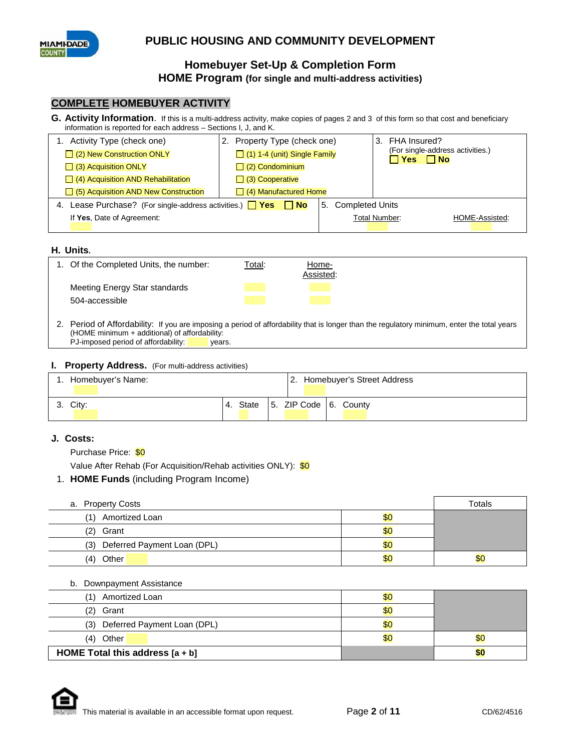

#### **COMPLETE HOMEBUYER ACTIVITY**

**G. Activity Information**. If this is a multi-address activity, make copies of pages 2 and 3 of this form so that cost and beneficiary information is reported for each address – Sections I, J, and K.

| 1. Activity Type (check one)                                             | 2. Property Type (check one)        |                    | 3. FHA Insured?                                      |
|--------------------------------------------------------------------------|-------------------------------------|--------------------|------------------------------------------------------|
| $\Box$ (2) New Construction ONLY                                         | $\Box$ (1) 1-4 (unit) Single Family |                    | (For single-address activities.)<br><b>TYes □ No</b> |
| $\Box$ (3) Acquisition ONLY                                              | $\Box$ (2) Condominium              |                    |                                                      |
| $\Box$ (4) Acquisition AND Rehabilitation                                | $\Box$ (3) Cooperative              |                    |                                                      |
| $\Box$ (5) Acquisition AND New Construction                              | $\Box$ (4) Manufactured Home        |                    |                                                      |
| 4. Lease Purchase? (For single-address activities.) $\Box$ Yes $\Box$ No |                                     | 5. Completed Units |                                                      |
| If Yes, Date of Agreement:                                               |                                     |                    | Total Number:<br>HOME-Assisted:                      |
|                                                                          |                                     |                    |                                                      |

#### **H. Units.**

| 1. Of the Completed Units, the number: | <u>Total:</u> | <u>Home-</u><br>Assisted: |  |
|----------------------------------------|---------------|---------------------------|--|
| Meeting Energy Star standards          |               |                           |  |
| 504-accessible                         |               |                           |  |

2. Period of Affordability: If you are imposing a period of affordability that is longer than the regulatory minimum, enter the total years (HOME minimum + additional) of affordability:  $P$ J-imposed period of affordability: years.

#### **I. Property Address.** (For multi-address activities)

| Homebuver's Name: |             |  | Homebuyer's Street Address |
|-------------------|-------------|--|----------------------------|
| 3. City:          | State<br>4. |  | 15. ZIP Code 16. County    |

#### **J. Costs:**

Purchase Price: \$0

Value After Rehab (For Acquisition/Rehab activities ONLY): \$0

1. **HOME Funds** (including Program Income)

| a. Property Costs               | Totals |     |
|---------------------------------|--------|-----|
| Amortized Loan<br>(1)           | \$0    |     |
| (2)<br>Grant                    | \$0    |     |
| (3) Deferred Payment Loan (DPL) | \$0    |     |
| Other<br>(4)                    | \$0    | \$0 |

b. Downpayment Assistance

| Amortized Loan                     | \$0 |     |
|------------------------------------|-----|-----|
| (2)<br>Grant                       | \$0 |     |
| Deferred Payment Loan (DPL)<br>(3) | \$0 |     |
| Other<br>(4)                       | \$0 | \$0 |
| HOME Total this address $[a + b]$  |     | 50  |

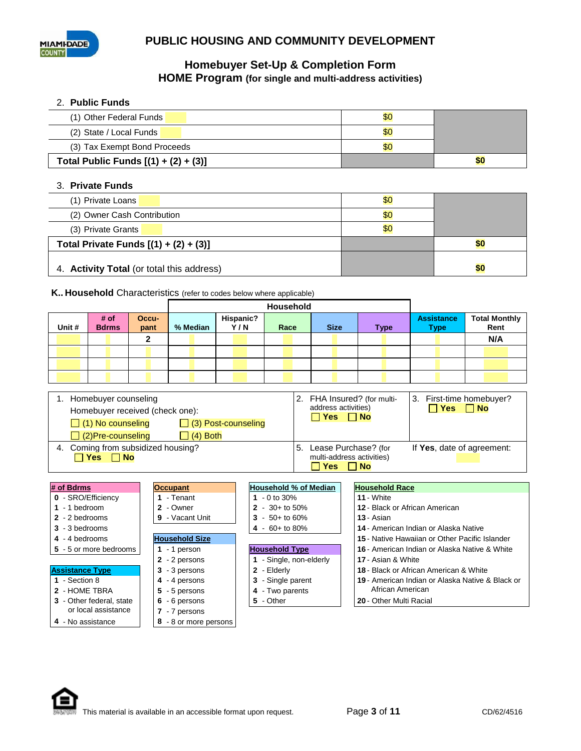

#### 2. **Public Funds**

| (1) Other Federal Funds                | \$0 |    |
|----------------------------------------|-----|----|
| (2) State / Local Funds                | \$0 |    |
| (3) Tax Exempt Bond Proceeds           | \$C |    |
| Total Public Funds $[(1) + (2) + (3)]$ |     | 50 |

#### 3. **Private Funds**

| (1) Private Loans                         | \$0 |     |
|-------------------------------------------|-----|-----|
| (2) Owner Cash Contribution               | \$0 |     |
| (3) Private Grants                        | \$0 |     |
| Total Private Funds $[(1) + (2) + (3)]$   |     | 50  |
| 4. Activity Total (or total this address) |     | \$0 |

#### **K.. Household** Characteristics (refer to codes below where applicable)

|        |                      |               | Household |                  |      |             |             |                                  |                              |
|--------|----------------------|---------------|-----------|------------------|------|-------------|-------------|----------------------------------|------------------------------|
| Unit # | # of<br><b>Bdrms</b> | Occu-<br>pant | % Median  | Hispanic?<br>Y/N | Race | <b>Size</b> | <b>Type</b> | <b>Assistance</b><br><b>Type</b> | <b>Total Monthly</b><br>Rent |
|        |                      |               |           |                  |      |             |             |                                  | N/A                          |
|        |                      |               |           |                  |      |             |             |                                  |                              |
|        |                      |               |           |                  |      |             |             |                                  |                              |
|        |                      |               |           |                  |      |             |             |                                  |                              |

| 1. Homebuyer counseling                                    | 3. First-time homebuyer?                                                                                   |
|------------------------------------------------------------|------------------------------------------------------------------------------------------------------------|
| Homebuyer received (check one):                            | FHA Insured? (for multi-                                                                                   |
| $\Box$ (1) No counseling                                   | 2.                                                                                                         |
| $\Box$ (3) Post-counseling                                 | address activities)                                                                                        |
| $\Box$ (4) Both                                            | $Yes \Box No$                                                                                              |
| $\Box$ (2)Pre-counseling                                   | $\Box$ Yes $\Box$ No                                                                                       |
| 4. Coming from subsidized housing?<br>$\Box$ Yes $\Box$ No | 5. Lease Purchase? (for<br>If Yes, date of agreement:<br>multi-address activities)<br>$\Box$ Yes $\Box$ No |

| # of Bdrms               | <b>Occupant</b>       | <b>Household % of Median</b> | <b>Household Race</b>                             |
|--------------------------|-----------------------|------------------------------|---------------------------------------------------|
| 0 - SRO/Efficiency       | 1 - Tenant            | 1 $-0$ to 30%                | <b>11 - White</b>                                 |
| $1 - 1$ bedroom          | 2 - Owner             | 2 - $30+$ to 50%             | <b>12 - Black or African American</b>             |
| 2 - 2 bedrooms           | 9 - Vacant Unit       | $3 - 50 +$ to 60%            | $13 - Asian$                                      |
| 3 - 3 bedrooms           |                       | 4 - $60+$ to 80%             | 14 - American Indian or Alaska Native             |
| 4 - 4 bedrooms           | <b>Household Size</b> |                              | 15 - Native Hawaiian or Other Pacific Islander    |
| 5 - 5 or more bedrooms   | 1 - 1 person          | <b>Household Type</b>        | 16 - American Indian or Alaska Native & White     |
|                          | 2 - 2 persons         | - Single, non-elderly        | 17 - Asian & White                                |
| <b>Assistance Type</b>   | $3 - 3$ persons       | $2 -$ Elderly                | <b>18 - Black or African American &amp; White</b> |
| 1 - Section 8            | 4 - 4 persons         | 3 - Single parent            | 19 - American Indian or Alaska Native & Black or  |
| 2 - HOME TBRA            | 5 - 5 persons         | 4 - Two parents              | African American                                  |
| 3 - Other federal, state | $6 - 6$ persons       | 5 - Other                    | 20 - Other Multi Racial                           |
| or local assistance      | 7 - 7 persons         |                              |                                                   |
| 4 - No assistance        | 8 - 8 or more persons |                              |                                                   |

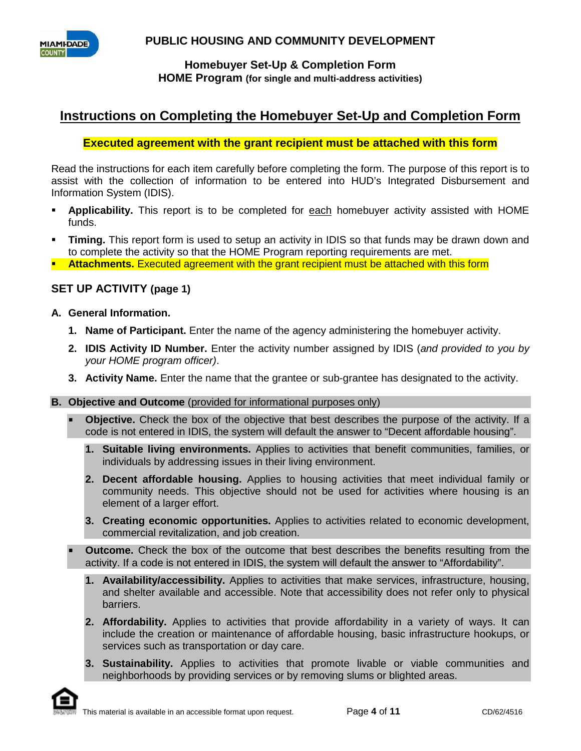



# **Instructions on Completing the Homebuyer Set-Up and Completion Form**

#### **Executed agreement with the grant recipient must be attached with this form**

Read the instructions for each item carefully before completing the form. The purpose of this report is to assist with the collection of information to be entered into HUD's Integrated Disbursement and Information System (IDIS).

- **Applicability.** This report is to be completed for each homebuyer activity assisted with HOME funds.
- **Timing.** This report form is used to setup an activity in IDIS so that funds may be drawn down and to complete the activity so that the HOME Program reporting requirements are met.
- **Attachments.** Executed agreement with the grant recipient must be attached with this form

### **SET UP ACTIVITY (page 1)**

- **A. General Information.**
	- **1. Name of Participant.** Enter the name of the agency administering the homebuyer activity.
	- **2. IDIS Activity ID Number.** Enter the activity number assigned by IDIS (*and provided to you by your HOME program officer)*.
	- **3. Activity Name.** Enter the name that the grantee or sub-grantee has designated to the activity.
- **B. Objective and Outcome** (provided for informational purposes only)

 **Objective.** Check the box of the objective that best describes the purpose of the activity. If a code is not entered in IDIS, the system will default the answer to "Decent affordable housing".

- **1. Suitable living environments.** Applies to activities that benefit communities, families, or individuals by addressing issues in their living environment.
- **2. Decent affordable housing.** Applies to housing activities that meet individual family or community needs. This objective should not be used for activities where housing is an element of a larger effort.
- **3. Creating economic opportunities.** Applies to activities related to economic development, commercial revitalization, and job creation.
- **Outcome.** Check the box of the outcome that best describes the benefits resulting from the activity. If a code is not entered in IDIS, the system will default the answer to "Affordability".
	- **1. Availability/accessibility.** Applies to activities that make services, infrastructure, housing, and shelter available and accessible. Note that accessibility does not refer only to physical barriers.
	- **2. Affordability.** Applies to activities that provide affordability in a variety of ways. It can include the creation or maintenance of affordable housing, basic infrastructure hookups, or services such as transportation or day care.
	- **3. Sustainability.** Applies to activities that promote livable or viable communities and neighborhoods by providing services or by removing slums or blighted areas.

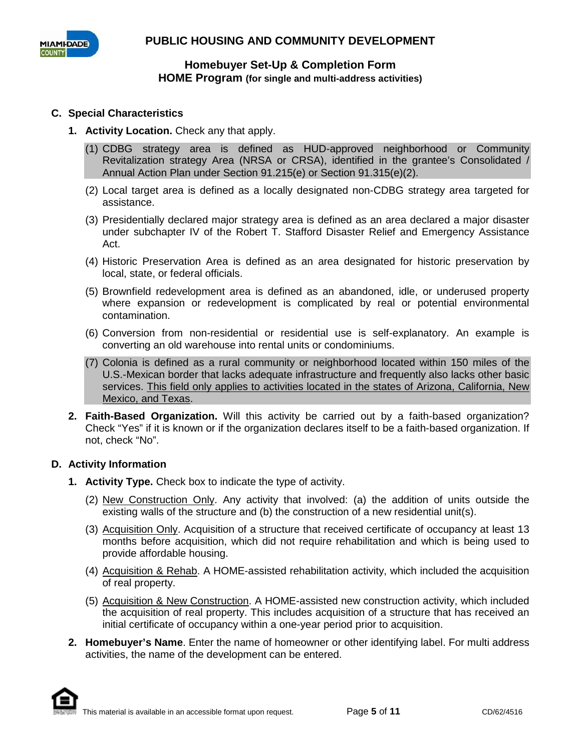

## **C. Special Characteristics**

- **1. Activity Location.** Check any that apply.
	- (1) CDBG strategy area is defined as HUD-approved neighborhood or Community Revitalization strategy Area (NRSA or CRSA), identified in the grantee's Consolidated / Annual Action Plan under Section 91.215(e) or Section 91.315(e)(2).
	- (2) Local target area is defined as a locally designated non-CDBG strategy area targeted for assistance.
	- (3) Presidentially declared major strategy area is defined as an area declared a major disaster under subchapter IV of the Robert T. Stafford Disaster Relief and Emergency Assistance Act.
	- (4) Historic Preservation Area is defined as an area designated for historic preservation by local, state, or federal officials.
	- (5) Brownfield redevelopment area is defined as an abandoned, idle, or underused property where expansion or redevelopment is complicated by real or potential environmental contamination.
	- (6) Conversion from non-residential or residential use is self-explanatory. An example is converting an old warehouse into rental units or condominiums.
	- (7) Colonia is defined as a rural community or neighborhood located within 150 miles of the U.S.-Mexican border that lacks adequate infrastructure and frequently also lacks other basic services. This field only applies to activities located in the states of Arizona, California, New Mexico, and Texas.
- **2. Faith-Based Organization.** Will this activity be carried out by a faith-based organization? Check "Yes" if it is known or if the organization declares itself to be a faith-based organization. If not, check "No".

#### **D. Activity Information**

- **1. Activity Type.** Check box to indicate the type of activity.
	- (2) New Construction Only. Any activity that involved: (a) the addition of units outside the existing walls of the structure and (b) the construction of a new residential unit(s).
	- (3) Acquisition Only. Acquisition of a structure that received certificate of occupancy at least 13 months before acquisition, which did not require rehabilitation and which is being used to provide affordable housing.
	- (4) Acquisition & Rehab. A HOME-assisted rehabilitation activity, which included the acquisition of real property.
	- (5) Acquisition & New Construction. A HOME-assisted new construction activity, which included the acquisition of real property. This includes acquisition of a structure that has received an initial certificate of occupancy within a one-year period prior to acquisition.
- **2. Homebuyer's Name**. Enter the name of homeowner or other identifying label. For multi address activities, the name of the development can be entered.

This material is available in an accessible format upon request. Page 5 of 11 CD/62/4516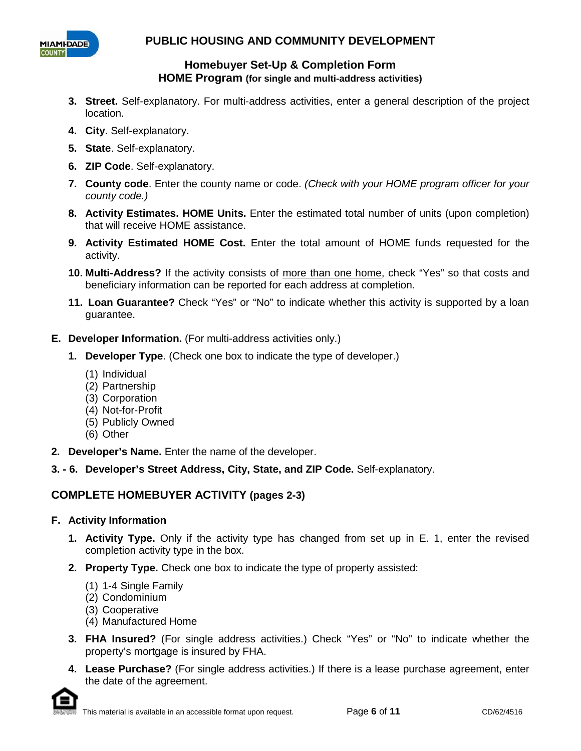



- **3. Street.** Self-explanatory. For multi-address activities, enter a general description of the project location.
- **4. City**. Self-explanatory.
- **5. State**. Self-explanatory.
- **6. ZIP Code**. Self-explanatory.
- **7. County code**. Enter the county name or code. *(Check with your HOME program officer for your county code.)*
- **8. Activity Estimates. HOME Units.** Enter the estimated total number of units (upon completion) that will receive HOME assistance.
- **9. Activity Estimated HOME Cost.** Enter the total amount of HOME funds requested for the activity.
- **10. Multi-Address?** If the activity consists of more than one home, check "Yes" so that costs and beneficiary information can be reported for each address at completion.
- **11. Loan Guarantee?** Check "Yes" or "No" to indicate whether this activity is supported by a loan guarantee.
- **E. Developer Information.** (For multi-address activities only.)
	- **1. Developer Type**. (Check one box to indicate the type of developer.)
		- (1) Individual
		- (2) Partnership
		- (3) Corporation
		- (4) Not-for-Profit
		- (5) Publicly Owned
		- (6) Other
- **2. Developer's Name.** Enter the name of the developer.
- **3. - 6. Developer's Street Address, City, State, and ZIP Code.** Self-explanatory.

# **COMPLETE HOMEBUYER ACTIVITY (pages 2-3)**

## **F. Activity Information**

- **1. Activity Type.** Only if the activity type has changed from set up in E. 1, enter the revised completion activity type in the box.
- **2. Property Type.** Check one box to indicate the type of property assisted:
	- (1) 1-4 Single Family
	- (2) Condominium
	- (3) Cooperative
	- (4) Manufactured Home
- **3. FHA Insured?** (For single address activities.) Check "Yes" or "No" to indicate whether the property's mortgage is insured by FHA.
- **4. Lease Purchase?** (For single address activities.) If there is a lease purchase agreement, enter the date of the agreement.

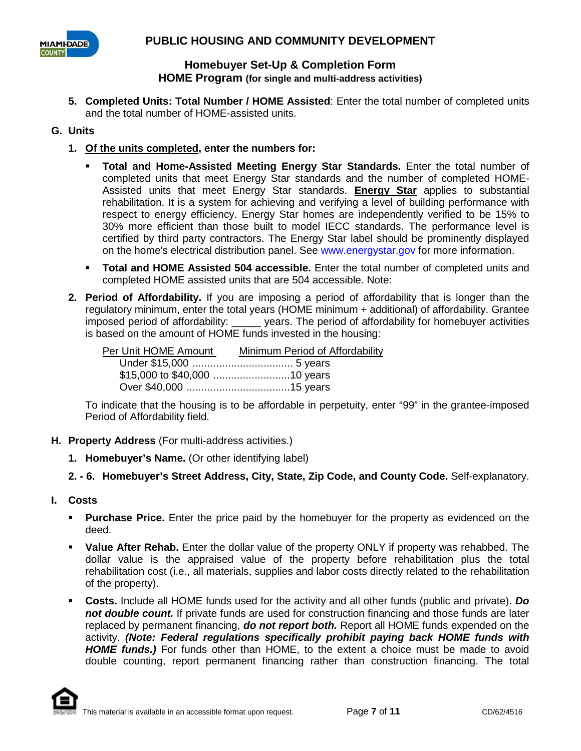

**5. Completed Units: Total Number / HOME Assisted**: Enter the total number of completed units and the total number of HOME-assisted units.

## **G. Units**

- **1. Of the units completed, enter the numbers for:** 
	- **Total and Home-Assisted Meeting Energy Star Standards.** Enter the total number of completed units that meet Energy Star standards and the number of completed HOME-Assisted units that meet Energy Star standards. **Energy Star** applies to substantial rehabilitation. It is a system for achieving and verifying a level of building performance with respect to energy efficiency. Energy Star homes are independently verified to be 15% to 30% more efficient than those built to model IECC standards. The performance level is certified by third party contractors. The Energy Star label should be prominently displayed on the home's electrical distribution panel. See www.energystar.gov for more information.
	- **Total and HOME Assisted 504 accessible.** Enter the total number of completed units and completed HOME assisted units that are 504 accessible. Note:
- **2. Period of Affordability.** If you are imposing a period of affordability that is longer than the regulatory minimum, enter the total years (HOME minimum + additional) of affordability. Grantee imposed period of affordability: \_\_\_\_\_ years. The period of affordability for homebuyer activities is based on the amount of HOME funds invested in the housing:

| Per Unit HOME Amount | Minimum Period of Affordability |
|----------------------|---------------------------------|
|                      |                                 |
|                      |                                 |
|                      |                                 |

To indicate that the housing is to be affordable in perpetuity, enter "99" in the grantee-imposed Period of Affordability field.

- **H. Property Address** (For multi-address activities.)
	- **1. Homebuyer's Name.** (Or other identifying label)
	- **2. - 6. Homebuyer's Street Address, City, State, Zip Code, and County Code.** Self-explanatory.
- **I. Costs**
	- **Purchase Price.** Enter the price paid by the homebuyer for the property as evidenced on the deed.
	- **Value After Rehab.** Enter the dollar value of the property ONLY if property was rehabbed. The dollar value is the appraised value of the property before rehabilitation plus the total rehabilitation cost (i.e., all materials, supplies and labor costs directly related to the rehabilitation of the property).
	- **Costs.** Include all HOME funds used for the activity and all other funds (public and private). *Do not double count.* If private funds are used for construction financing and those funds are later replaced by permanent financing, *do not report both.* Report all HOME funds expended on the activity. *(Note: Federal regulations specifically prohibit paying back HOME funds with HOME funds.)* For funds other than HOME, to the extent a choice must be made to avoid double counting, report permanent financing rather than construction financing. The total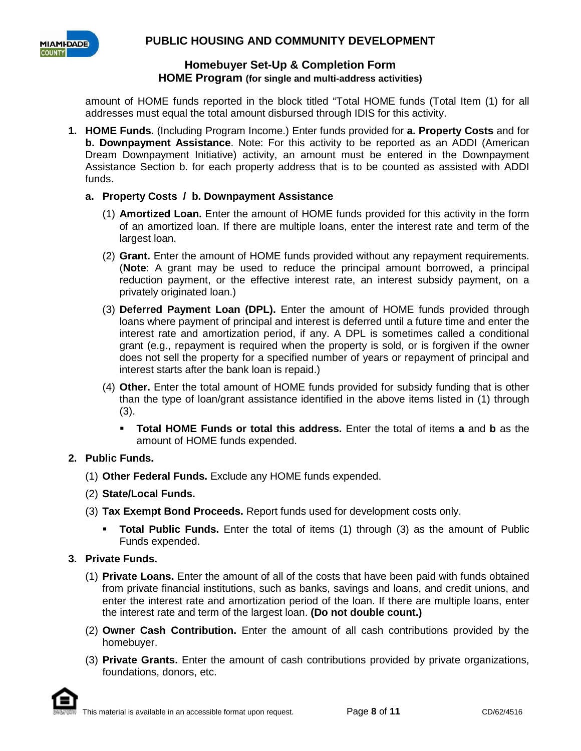

amount of HOME funds reported in the block titled "Total HOME funds (Total Item (1) for all addresses must equal the total amount disbursed through IDIS for this activity.

**1. HOME Funds.** (Including Program Income.) Enter funds provided for **a. Property Costs** and for **b. Downpayment Assistance**. Note: For this activity to be reported as an ADDI (American Dream Downpayment Initiative) activity, an amount must be entered in the Downpayment Assistance Section b. for each property address that is to be counted as assisted with ADDI funds.

### **a. Property Costs / b. Downpayment Assistance**

- (1) **Amortized Loan.** Enter the amount of HOME funds provided for this activity in the form of an amortized loan. If there are multiple loans, enter the interest rate and term of the largest loan.
- (2) **Grant.** Enter the amount of HOME funds provided without any repayment requirements. (**Note**: A grant may be used to reduce the principal amount borrowed, a principal reduction payment, or the effective interest rate, an interest subsidy payment, on a privately originated loan.)
- (3) **Deferred Payment Loan (DPL).** Enter the amount of HOME funds provided through loans where payment of principal and interest is deferred until a future time and enter the interest rate and amortization period, if any. A DPL is sometimes called a conditional grant (e.g., repayment is required when the property is sold, or is forgiven if the owner does not sell the property for a specified number of years or repayment of principal and interest starts after the bank loan is repaid.)
- (4) **Other.** Enter the total amount of HOME funds provided for subsidy funding that is other than the type of loan/grant assistance identified in the above items listed in (1) through (3).
	- **Total HOME Funds or total this address.** Enter the total of items **a** and **b** as the amount of HOME funds expended.

## **2. Public Funds.**

- (1) **Other Federal Funds.** Exclude any HOME funds expended.
- (2) **State/Local Funds.**
- (3) **Tax Exempt Bond Proceeds.** Report funds used for development costs only.
	- **Total Public Funds.** Enter the total of items (1) through (3) as the amount of Public Funds expended.

#### **3. Private Funds.**

- (1) **Private Loans.** Enter the amount of all of the costs that have been paid with funds obtained from private financial institutions, such as banks, savings and loans, and credit unions, and enter the interest rate and amortization period of the loan. If there are multiple loans, enter the interest rate and term of the largest loan. **(Do not double count.)**
- (2) **Owner Cash Contribution.** Enter the amount of all cash contributions provided by the homebuyer.
- (3) **Private Grants.** Enter the amount of cash contributions provided by private organizations, foundations, donors, etc.

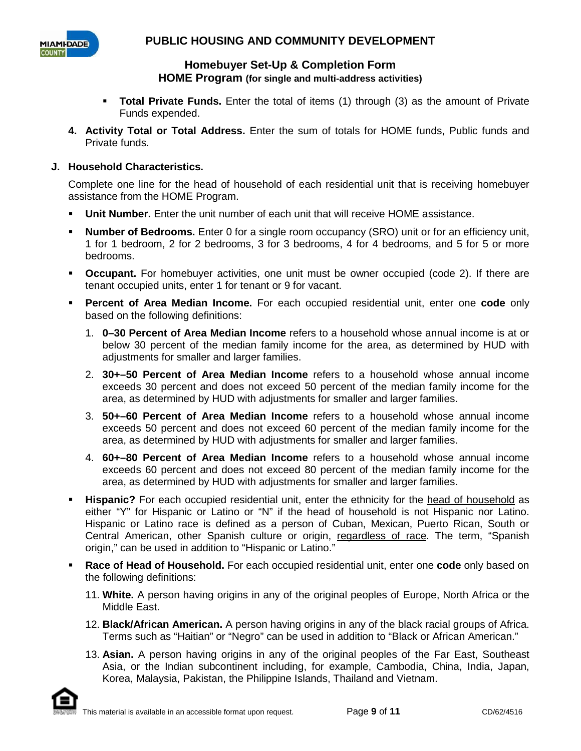

- **Total Private Funds.** Enter the total of items (1) through (3) as the amount of Private Funds expended.
- **4. Activity Total or Total Address.** Enter the sum of totals for HOME funds, Public funds and Private funds.

## **J. Household Characteristics.**

Complete one line for the head of household of each residential unit that is receiving homebuyer assistance from the HOME Program.

- **Unit Number.** Enter the unit number of each unit that will receive HOME assistance.
- **Number of Bedrooms.** Enter 0 for a single room occupancy (SRO) unit or for an efficiency unit, 1 for 1 bedroom, 2 for 2 bedrooms, 3 for 3 bedrooms, 4 for 4 bedrooms, and 5 for 5 or more bedrooms.
- **Occupant.** For homebuyer activities, one unit must be owner occupied (code 2). If there are tenant occupied units, enter 1 for tenant or 9 for vacant.
- **Percent of Area Median Income.** For each occupied residential unit, enter one **code** only based on the following definitions:
	- 1. **0–30 Percent of Area Median Income** refers to a household whose annual income is at or below 30 percent of the median family income for the area, as determined by HUD with adjustments for smaller and larger families.
	- 2. **30+–50 Percent of Area Median Income** refers to a household whose annual income exceeds 30 percent and does not exceed 50 percent of the median family income for the area, as determined by HUD with adjustments for smaller and larger families.
	- 3. **50+–60 Percent of Area Median Income** refers to a household whose annual income exceeds 50 percent and does not exceed 60 percent of the median family income for the area, as determined by HUD with adjustments for smaller and larger families.
	- 4. **60+–80 Percent of Area Median Income** refers to a household whose annual income exceeds 60 percent and does not exceed 80 percent of the median family income for the area, as determined by HUD with adjustments for smaller and larger families.
- **Hispanic?** For each occupied residential unit, enter the ethnicity for the head of household as either "Y" for Hispanic or Latino or "N" if the head of household is not Hispanic nor Latino. Hispanic or Latino race is defined as a person of Cuban, Mexican, Puerto Rican, South or Central American, other Spanish culture or origin, regardless of race. The term, "Spanish origin," can be used in addition to "Hispanic or Latino."
- **Race of Head of Household.** For each occupied residential unit, enter one **code** only based on the following definitions:
	- 11. **White.** A person having origins in any of the original peoples of Europe, North Africa or the Middle East.
	- 12. **Black/African American.** A person having origins in any of the black racial groups of Africa. Terms such as "Haitian" or "Negro" can be used in addition to "Black or African American."
	- 13. **Asian.** A person having origins in any of the original peoples of the Far East, Southeast Asia, or the Indian subcontinent including, for example, Cambodia, China, India, Japan, Korea, Malaysia, Pakistan, the Philippine Islands, Thailand and Vietnam.

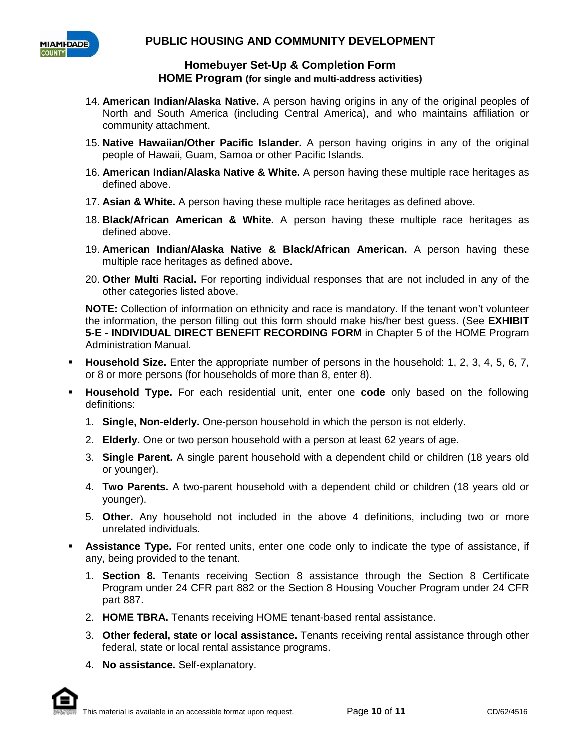

- 14. **American Indian/Alaska Native.** A person having origins in any of the original peoples of North and South America (including Central America), and who maintains affiliation or community attachment.
- 15. **Native Hawaiian/Other Pacific Islander.** A person having origins in any of the original people of Hawaii, Guam, Samoa or other Pacific Islands.
- 16. **American Indian/Alaska Native & White.** A person having these multiple race heritages as defined above.
- 17. **Asian & White.** A person having these multiple race heritages as defined above.
- 18. **Black/African American & White.** A person having these multiple race heritages as defined above.
- 19. **American Indian/Alaska Native & Black/African American.** A person having these multiple race heritages as defined above.
- 20. **Other Multi Racial.** For reporting individual responses that are not included in any of the other categories listed above.

**NOTE:** Collection of information on ethnicity and race is mandatory. If the tenant won't volunteer the information, the person filling out this form should make his/her best guess. (See **EXHIBIT 5-E - INDIVIDUAL DIRECT BENEFIT RECORDING FORM** in Chapter 5 of the HOME Program Administration Manual.

- **Household Size.** Enter the appropriate number of persons in the household: 1, 2, 3, 4, 5, 6, 7, or 8 or more persons (for households of more than 8, enter 8).
- **Household Type.** For each residential unit, enter one **code** only based on the following definitions:
	- 1. **Single, Non-elderly.** One-person household in which the person is not elderly.
	- 2. **Elderly.** One or two person household with a person at least 62 years of age.
	- 3. **Single Parent.** A single parent household with a dependent child or children (18 years old or younger).
	- 4. **Two Parents.** A two-parent household with a dependent child or children (18 years old or younger).
	- 5. **Other.** Any household not included in the above 4 definitions, including two or more unrelated individuals.
- **Assistance Type.** For rented units, enter one code only to indicate the type of assistance, if any, being provided to the tenant.
	- 1. **Section 8.** Tenants receiving Section 8 assistance through the Section 8 Certificate Program under 24 CFR part 882 or the Section 8 Housing Voucher Program under 24 CFR part 887.
	- 2. **HOME TBRA.** Tenants receiving HOME tenant-based rental assistance.
	- 3. **Other federal, state or local assistance.** Tenants receiving rental assistance through other federal, state or local rental assistance programs.
	- 4. **No assistance.** Self-explanatory.